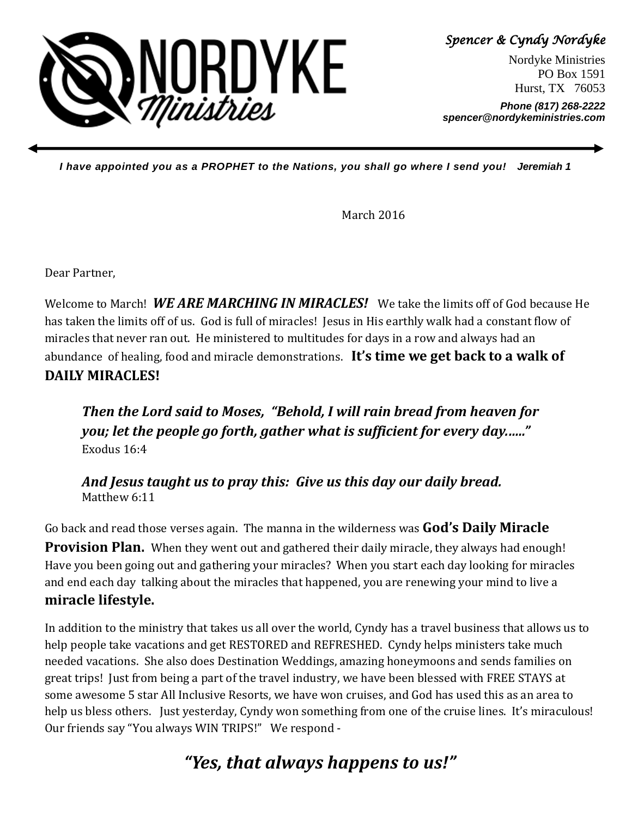

Spencer & Cyndy Nordyke

Nordyke Ministries PO Box 1591 Hurst, TX 76053

**Phone (817) 268-2222 spencer@nordykeministries.com** 

**I have appointed you as a PROPHET to the Nations, you shall go where I send you! Jeremiah 1** 

March 2016

Dear Partner,

Welcome to March! WE ARE MARCHING IN MIRACLES! We take the limits off of God because He has taken the limits off of us. God is full of miracles! Jesus in His earthly walk had a constant flow of miracles that never ran out. He ministered to multitudes for days in a row and always had an abundance of healing, food and miracle demonstrations. It's time we get back to a walk of DAILY MIRACLES!

Then the Lord said to Moses, "Behold, I will rain bread from heaven for you; let the people go forth, gather what is sufficient for every day.….." Exodus 16:4

And Jesus taught us to pray this: Give us this day our daily bread. Matthew 6:11

Go back and read those verses again. The manna in the wilderness was God's Daily Miracle

**Provision Plan.** When they went out and gathered their daily miracle, they always had enough! Have you been going out and gathering your miracles? When you start each day looking for miracles and end each day talking about the miracles that happened, you are renewing your mind to live a miracle lifestyle.

In addition to the ministry that takes us all over the world, Cyndy has a travel business that allows us to help people take vacations and get RESTORED and REFRESHED. Cyndy helps ministers take much needed vacations. She also does Destination Weddings, amazing honeymoons and sends families on great trips! Just from being a part of the travel industry, we have been blessed with FREE STAYS at some awesome 5 star All Inclusive Resorts, we have won cruises, and God has used this as an area to help us bless others. Just yesterday, Cyndy won something from one of the cruise lines. It's miraculous! Our friends say "You always WIN TRIPS!" We respond -

## "Yes, that always happens to us!"